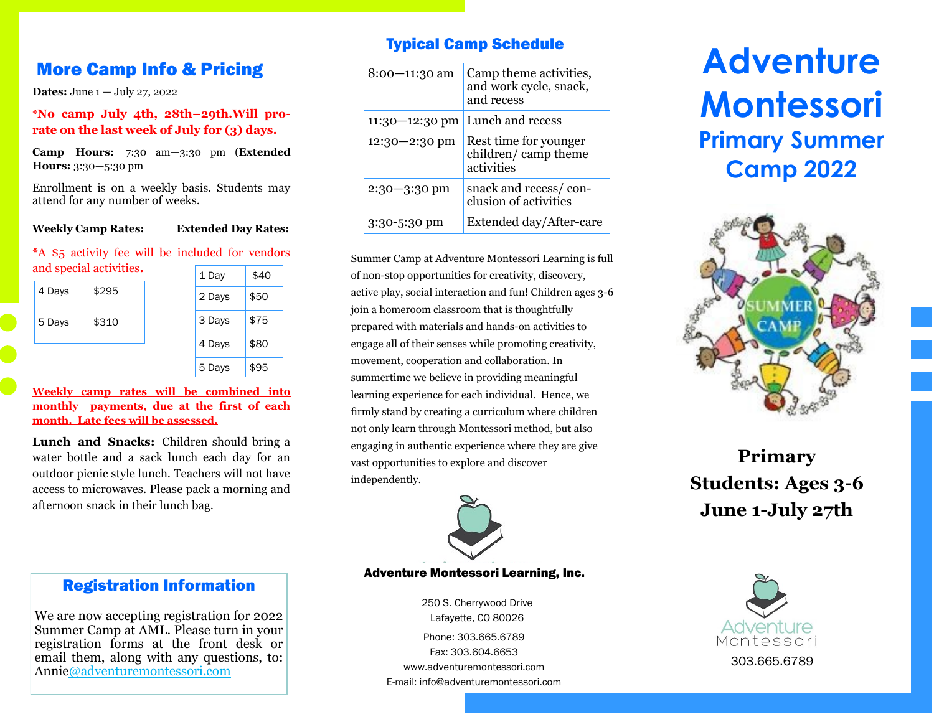**Dates:** June 1 — July 27, 2022

**\*No camp July 4th, 28th–29th.Will prorate on the last week of July for (3) days.**

**Camp Hours:** 7:30 am—3:30 pm (**Extended Hours:** 3:30—5:30 pm

Enrollment is on a weekly basis. Students may attend for any number of weeks.

#### **Weekly Camp Rates: Extended Day Rates:**

#### **\***A \$5 activity fee will be included for vendors

| and special activities. |       | 1 Day  | \$40 |
|-------------------------|-------|--------|------|
| 4 Days                  | \$295 | 2 Days | \$50 |
| 5 Days                  | \$310 | 3 Days | \$75 |
|                         |       | 4 Days | \$80 |
|                         |       | 5 Days | \$95 |

**Weekly camp rates will be combined into monthly payments, due at the first of each month. Late fees will be assessed.**

Lunch and Snacks: Children should bring a water bottle and a sack lunch each day for an outdoor picnic style lunch. Teachers will not have access to microwaves. Please pack a morning and afternoon snack in their lunch bag.

# Typical Camp Schedule

| 8:00-11:30 am      | Camp theme activities,<br>and work cycle, snack,<br>and recess |
|--------------------|----------------------------------------------------------------|
| $11:30 - 12:30$ pm | Lunch and recess                                               |
| $12:30 - 2:30$ pm  | Rest time for younger<br>children/camp theme<br>activities     |
| $2:30 - 3:30$ pm   | snack and recess/con-<br>clusion of activities                 |
| $3:30 - 5:30$ pm   | Extended day/After-care                                        |

Summer Camp at Adventure Montessori Learning is full of non-stop opportunities for creativity, discovery, active play, social interaction and fun! Children ages 3-6 join a homeroom classroom that is thoughtfully prepared with materials and hands-on activities to engage all of their senses while promoting creativity, movement, cooperation and collaboration. In summertime we believe in providing meaningful learning experience for each individual. Hence, we firmly stand by creating a curriculum where children not only learn through Montessori method, but also engaging in authentic experience where they are give vast opportunities to explore and discover independently.



#### Adventure Montessori Learning, Inc.

250 S. Cherrywood Drive Lafayette, CO 80026 Phone: 303.665.6789 Fax: 303.604.6653 www.adventuremontessori.com E-mail: info@adventuremontessori.com

# **More Camp Info & Pricing Adventure Adventure Adventure Montessori Primary Summer Camp 2022**



**Primary Students: Ages 3-6 June 1-July 27th**



# Registration Information

We are now accepting registration for 2022 Summer Camp at AML. Please turn in your registration forms at the front desk or email them, along with any questions, to: Anni[e@adventuremontessori.com](mailto:wendy@adventuremontessori.com)